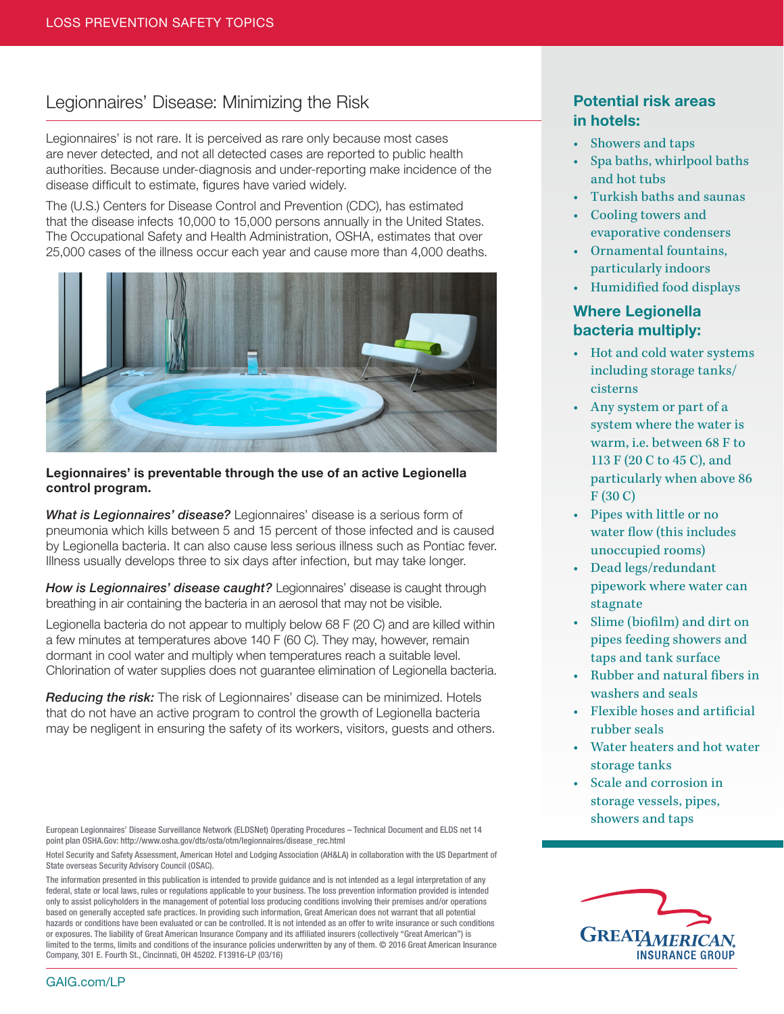## Legionnaires' Disease: Minimizing the Risk

Legionnaires' is not rare. It is perceived as rare only because most cases are never detected, and not all detected cases are reported to public health authorities. Because under-diagnosis and under-reporting make incidence of the disease difficult to estimate, figures have varied widely.

The (U.S.) Centers for Disease Control and Prevention (CDC), has estimated that the disease infects 10,000 to 15,000 persons annually in the United States. The Occupational Safety and Health Administration, OSHA, estimates that over 25,000 cases of the illness occur each year and cause more than 4,000 deaths.



#### Legionnaires' is preventable through the use of an active Legionella control program.

*What is Legionnaires' disease?* Legionnaires' disease is a serious form of pneumonia which kills between 5 and 15 percent of those infected and is caused by Legionella bacteria. It can also cause less serious illness such as Pontiac fever. Illness usually develops three to six days after infection, but may take longer.

*How is Legionnaires' disease caught?* Legionnaires' disease is caught through breathing in air containing the bacteria in an aerosol that may not be visible.

Legionella bacteria do not appear to multiply below 68 F (20 C) and are killed within a few minutes at temperatures above 140 F (60 C). They may, however, remain dormant in cool water and multiply when temperatures reach a suitable level. Chlorination of water supplies does not guarantee elimination of Legionella bacteria.

*Reducing the risk:* The risk of Legionnaires' disease can be minimized. Hotels that do not have an active program to control the growth of Legionella bacteria may be negligent in ensuring the safety of its workers, visitors, guests and others.

European Legionnaires' Disease Surveillance Network (ELDSNet) Operating Procedures – Technical Document and ELDS net 14 point plan OSHA.Gov: http://www.osha.gov/dts/osta/otm/legionnaires/disease\_rec.html

Hotel Security and Safety Assessment, American Hotel and Lodging Association (AH&LA) in collaboration with the US Department of State overseas Security Advisory Council (OSAC).

The information presented in this publication is intended to provide guidance and is not intended as a legal interpretation of any federal, state or local laws, rules or regulations applicable to your business. The loss prevention information provided is intended only to assist policyholders in the management of potential loss producing conditions involving their premises and/or operations based on generally accepted safe practices. In providing such information, Great American does not warrant that all potential hazards or conditions have been evaluated or can be controlled. It is not intended as an offer to write insurance or such conditions or exposures. The liability of Great American Insurance Company and its affiliated insurers (collectively "Great American") is limited to the terms, limits and conditions of the insurance policies underwritten by any of them. © 2016 Great American Insurance Company, 301 E. Fourth St., Cincinnati, OH 45202. F13916-LP (03/16)

### Potential risk areas in hotels:

- Showers and taps
- Spa baths, whirlpool baths and hot tubs
- • Turkish baths and saunas
- • Cooling towers and evaporative condensers
- • Ornamental fountains, particularly indoors
- • Humidified food displays

# Where Legionella bacteria multiply:

- • Hot and cold water systems including storage tanks/ cisterns
- • Any system or part of a system where the water is warm, i.e. between 68 F to 113 F (20 C to 45 C), and particularly when above 86 F (30 C)
- • Pipes with little or no water flow (this includes unoccupied rooms)
- • Dead legs/redundant pipework where water can stagnate
- Slime (biofilm) and dirt on pipes feeding showers and taps and tank surface
- • Rubber and natural fibers in washers and seals
- • Flexible hoses and artificial rubber seals
- • Water heaters and hot water storage tanks
- Scale and corrosion in storage vessels, pipes, showers and taps



GAIG.com/LP